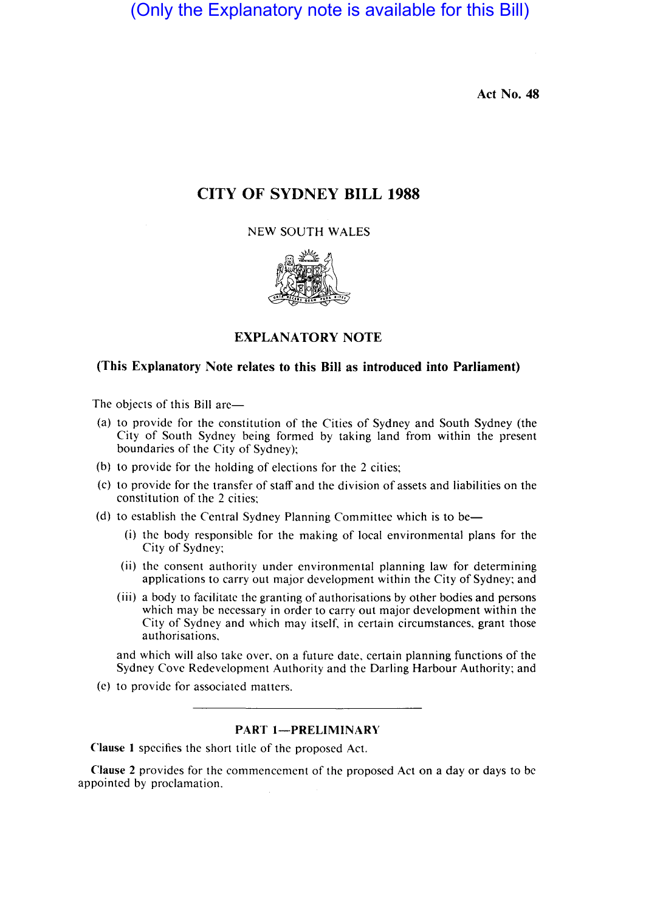(Only the Explanatory note is available for this Bill)

Act No. 48

# CITY OF SYDNEY BILL 1988

NEW SOUTH WALES



# EXPLANATORY NOTE

# (This Explanatory Note relates to this Bill as introduced into Parliament)

The objects of this Bill are-

- (a) to provide for the constitution of the Cities of Sydney and South Sydney (the City of South Sydney being formed by taking land from within the present boundaries of the City of Sydney);
- (b) to provide for the holding of elections for the 2 cities;
- (c) to provide for the transfer of staff and the division of assets and liabilities on the constitution of the 2 cities;
- (d) to establish the Central Sydney Planning Committee which is to be—
	- (i) the body responsible for the making of local environmental plans for the City of Sydney;
	- (ii) the consent authority under environmental planning law for determining applications to carry out major development within the City of Sydney; and
	- (iii) a body to facilitate the granting of authorisations by other bodies and persons which may be necessary in order to carry out major development within the City of Sydney and which may itself, in certain circumstances, grant those authorisations.

and which will also take over. on a future date, certain planning functions of the Sydney Cove Redevelopment Authority and the Darling Harbour Authority; and

(e) to provide for associated matters.

# PART 1-PRELIMINARY

Clause I specifies the short title of the proposed Act.

Clause 2 provides for the commencement of the proposed Act on a day or days to be appointed by proclamation.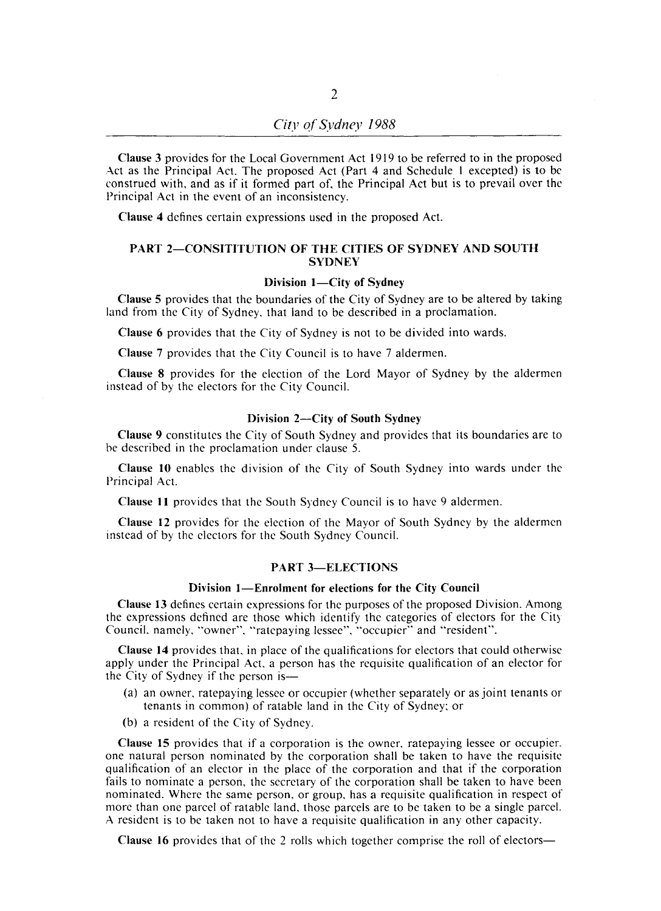Clause 3 provides for the Local Government Act 1919 to be referred to in the proposed Act as the Principal Act. The proposed Act (Part 4 and Schedule I excepted) is to be construed with, and as if it formed part of, the Principal Act but is to prevail over the Principal Act in the event of an inconsistency.

Clause 4 defines certain expressions used in the proposed Act.

### PART 2-CONSITITUTION OF THE CITIES OF SYDNEY AND SOUTH **SYDNEY**

### Division 1-City of Sydney

Clause 5 provides that the boundaries of the City of Sydney are to be altered by taking land from the City of Sydney. that land to be described in a proclamation.

Clause 6 provides that the City of Sydney is not to be divided into wards.

Clause 7 provides that the City Council is to have 7 aldermen.

Clause 8 provides for the election of the Lord Mayor of Sydney by the aldermen instead of by the electors for the City Council.

#### Division 2-City of South Sydney

Clause 9 constitutes the City of South Sydney and provides that its boundaries are to be described in the proclamation under clause 5.

Clause 10 enables the division of the City of South Sydney into wards under the Principal Act.

Clause 11 provides that the South Sydney Council is to have 9 aldermen.

Clause 12 provides for the election of the Mayor of South Sydney by the aldermen instead of by the electors for the South Sydney Council.

### PART 3-ELECTIONS

# Division I-Enrolment for elections for the City Council

Clause 13 defines certain expressions for the purposes of the proposed Division. Among the expressions defined are those which identify the categories of electors for the City Council, namely, "owner", "ratepaying lessee". "occupier" and "resident".

Clause 14 provides that, in place of the qualifications for electors that could otherwise apply under the Principal Act, a person has the requisite qualification of an elector for the City of Sydney if the person is-

- (a) an owner, ratepaying lessee or occupier (whether separately or as joint tenants or tenants in common) of ratable land in the City of Sydney; or
- (b) a resident of the City of Sydney.

Clause 15 provides that if a corporation is the owner. ratepaying lessee or occupier. one natural person nominated by the corporation shall be taken to have the requisite qualification of an elector in the place of the corporation and that if the corporation fails to nominate a person, the secretary of the corporation shall be taken to have been nominated. Where the same person, or group. has a requisite qualification in respect of more than one parcel of ratable land, those parcels are to be taken to be a single parcel. A resident is to be taken not to have a requisite qualification in any other capacity.

Clause 16 provides that of the 2 rolls which together comprise the roll of electors-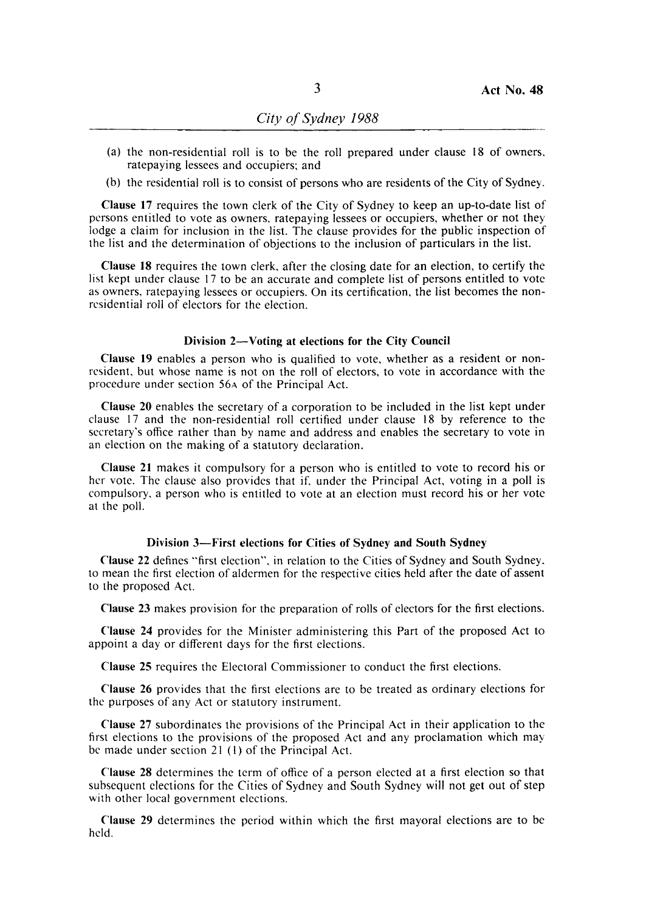- (a) the non-residential roll is to be the roll prepared under clause 18 of owners. ratepaying lessees and occupiers; and
- (b) the residential roll is to consist of persons who are residents of the City of Sydney.

Clause 17 requires the town clerk of the City of Sydney to keep an up-to-date list of persons entitled to vote as owners. ratepaying lessees or occupiers, whether or not they lodge a claim for inclusion in the list. The clause provides for the public inspection of the list and the determination of objections to the inclusion of particulars in the list.

Clause 18 requires the town clerk, after the closing date for an election, to certify the list kept under clause 17 to be an accurate and complete list of persons entitled to vote as owners. ratepaying lessees or occupiers. On its certification, the list becomes the nonresidential roll of electors for the election.

#### Division 2-Voting at elections for the City Council

Clause 19 enables a person who is qualified to vote, whether as a resident or nonresident, but whose name is not on the roll of electors, to vote in accordance with the procedure under section 56A of the Principal Act.

Clause 20 enables the secretary of a corporation to be included in the list kept under clause 17 and the non-residential roll certified under clause 18 by reference to the secretary's office rather than by name and address and enables the secretary to vote in an election on the making of a statutory declaration.

Clause 21 makes it compulsory for a person who is entitled to vote to record his or her vote. The clause also provides that if. under the Principal Act, voting in a poll is compulsory. a person who is entitled to vote at an election must record his or her vote at the poll.

### Division 3-First elections for Cities of Sydney and South Sydney

Clause 22 defines "'first election". in relation to the Cities of Sydney and South Sydney. to mean the first election of aldermen for the respective cities held after the date of assent to the proposed Act.

Clause 23 makes provision for the preparation of rolls of electors for the first elections.

Clause 24 provides for the Minister administering this Part of the proposed Act to appoint a day or different days for the first elections.

Clause 25 requires the Electoral Commissioner to conduct the first elections.

Clause 26 provides that the first elections are to be treated as ordinary elections for the purposes of any Act or statutory instrument.

Clause 27 subordinates the provisions of the Principal Act in their application to the first elections to the provisions of the proposed Act and any proclamation which may bc made under section 21 (I) of the Principal Act.

Clause 28 determines the term of office of a person elected at a first election so that subsequent elections for the Cities of Sydney and South Sydney will not get out of step with other local government elections.

Clause 29 determines the period within which the first mayoral elections are to be held.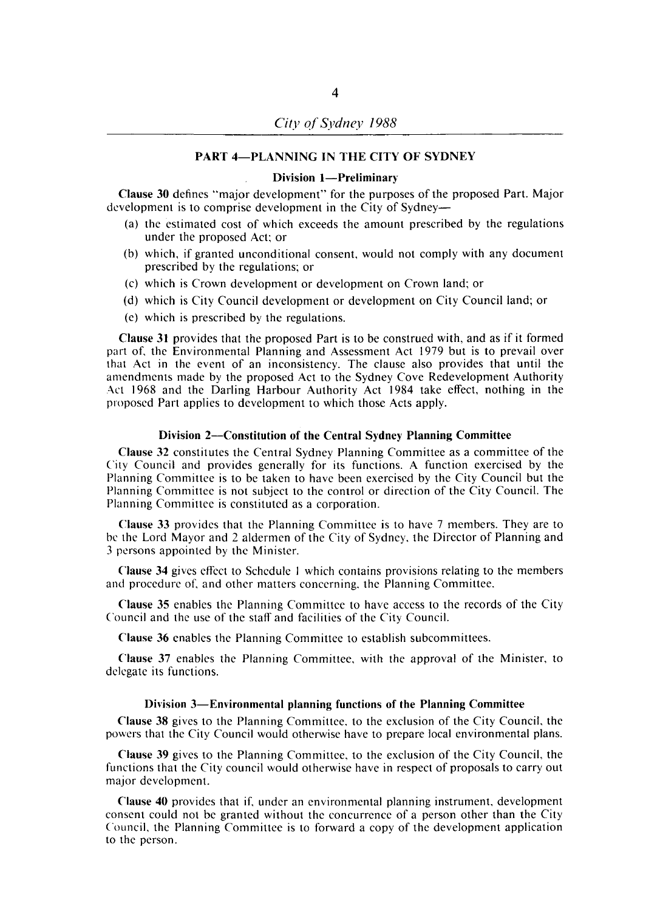# PART 4-PLANNING IN THE CITY OF SYDNEY

### Division 1-Preliminary

Clause 30 defines "major development" for the purposes of the proposed Part. Major development is to comprise development in the City of Sydney-

- (a) the estimated cost of which exceeds the amount prescribed by the regulations under the proposed Act; or
- (b) which. if granted unconditional consent. would not comply with any document prescribed by the regulations; or
- (c) which is Crown development or development on Crown land; or
- (d) which is City Council development or development on City Council land; or
- (e) which is prescribed by the regulations.

Clause 31 provides that the proposed Part is to be construed with. and as if it formed part of. the Environmental Planning and Assessment Act 1979 but is to prevail over that Act in the event of an inconsistency. The clause also provides that until the amendments made by the proposed Act to the Sydney Cove Redevelopment Authority Act 1968 and the Darling Harbour Authority Act 1984 take effect. nothing in the proposed Part applies to development to which those Acts apply.

#### Division 2-Constitution of the Central Sydney Planning Committee

Clause 32 constitutes the Central Sydney Planning Committee as a committee of the City Council and provides generally for its functions. A function exercised by the Planning Committee is to be taken to have been exercised by the City Council but the Planning Committee is not subject to the control or direction of the City Council. The Planning Committee is constituted as a corporation.

Clause 33 provides that the Planning Committee is to have 7 members. They are to bc the Lord Mayor and 2 aldermen of the City of Sydney. the Director of Planning and 3 persons appointed by the Minister.

Clause 34 gives effect to Schedule I which contains provisions relating to the members and procedure of. and other matters concerning. the Planning Committee.

Clause 35 enables the Planning Committee to have access to the records of the City Council and the use of the staff and facilities of the City Council.

Clause 36 enables the Planning Committee to establish subcommittees.

Clause 37 enables the Planning Committee. with the approval of the Minister. to delegate its functions.

#### Division 3-Environmental planning functions of the Planning Committee

Clause 38 gives to the Planning Committee. to the exclusion of the City Council. the powers that the City Council would otherwise have to prepare local environmental plans.

Clause 39 gives to the Planning Committee. to the exclusion of the City Council. the functions that the City council would otherwise have in respect of proposals to carry out major development.

Clause 40 provides that if. under an environmental planning instrument. development consent could not be granted without the concurrence of a person other than the City Council. the Planning Committee is to forward a copy of the development application to the person.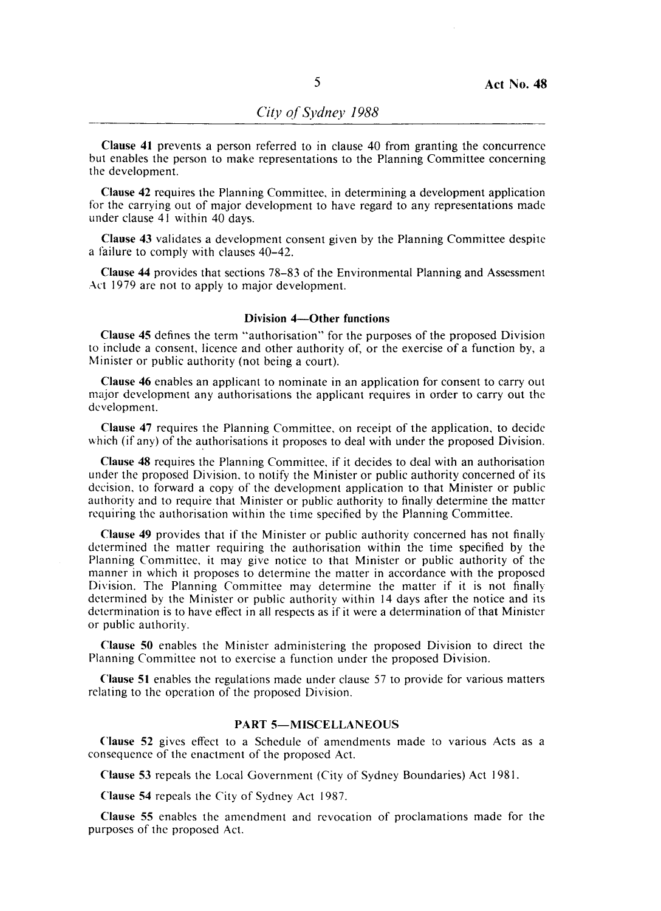Clause 41 prevents a person referred to in clause 40 from granting the concurrence but enables the person to make representations to the Planning Committee concerning the development.

Clause 42 requires the Planning Committee, in determining a development application for the carrying out of major development to have regard to any representations made under clause 41 within 40 days.

Clause 43 validates a development consent given by the Planning Committee despite a failure to comply with clauses 40-42.

Clause 44 provides that sections 78-83 of the Environmental Planning and Assessment Art 1979 are not to apply to major development.

### Division 4-Other functions

Clause 45 defines the term "authorisation" for the purposes of the proposed Division to include a consent, licence and other authority of, or the exercise of a function by, a Minister or public authority (not being a court).

Clause 46 enables an applicant to nominate in an application for consent to carry out major development any authorisations the applicant requires in order to carry out the development.

Clause 47 requires the Planning Committee, on receipt of the application, to decide which (if any) of the authorisations it proposes to deal with under the proposed Division.

Clause 48 requires the Planning Committee, if it decides to deal with an authorisation under the proposed Division, to notify the Minister or public authority concerned of its decision, to forward a copy of the development application to that Minister or public authority and to require that Minister or public authority to finally determine the matter requiring the authorisation within the time specified by the Planning Committee.

Clause 49 provides that if the Minister or public authority concerned has not finally determined the matter requiring the authorisation within the time specified by the Planning Committee, it may give notice to that Minister or public authority of the manner in which it proposes to determine the matter in accordance with the proposed Division. The Planning Committee may determine the matter if it is not finally determined by the Minister or public authority within 14 days after the notice and its determination is to have effect in all respects as if it were a determination of that Minister or public authority.

Clause 50 enables the Minister administering the proposed Division to direct the Planning Committee not to exercise a function under the proposed Division.

Clause 51 enables the regulations made under clause 57 to provide for various matters relating to the operation of the proposed Division.

# PART 5-MISCELLANEOUS

Clause 52 gives effect to a Schedule of amendments made to various Acts as a consequence of the enactment of the proposed Act.

Clause 53 repeals the Local Government (City of Sydney Boundaries) Act 1981.

Clause 54 repeals the City of Sydney Act 1987.

Clause 55 enables the amendment and revocation of proclamations made for the purposes of the proposed Act.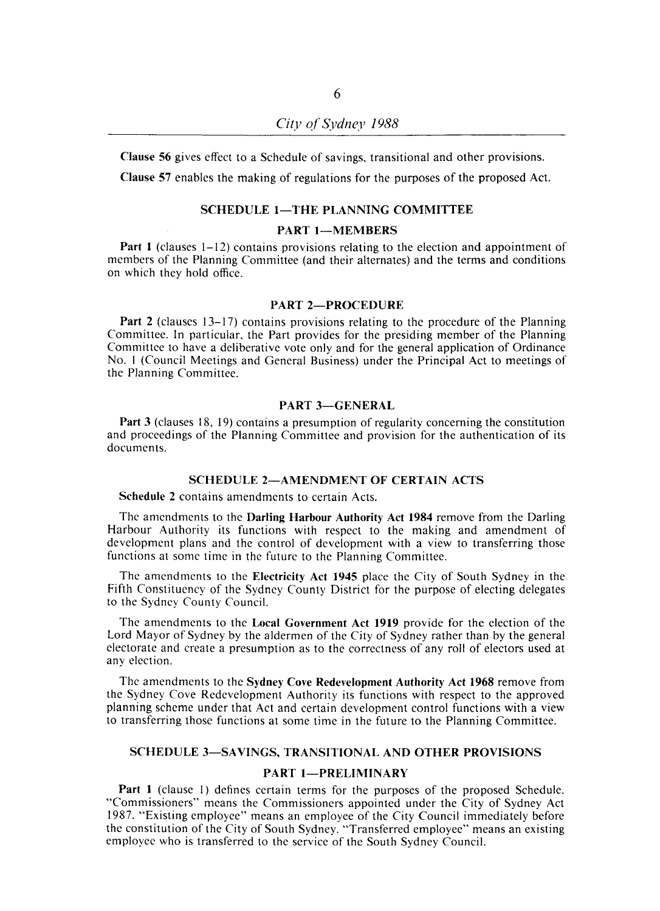Clause 56 gives effect to a Schedule of savings, transitional and other provisions.

Clause 57 enables the making of regulations for the purposes of the proposed Act.

#### SCHEDULE 1-THE PLANNING COMMITTEE

### PART 1-MEMBERS

Part 1 (clauses 1-12) contains provisions relating to the election and appointment of members of the Planning Committee (and their alternates) and the terms and conditions on which they hold office.

#### PART 2-PROCEDURE

Part 2 (clauses 13-17) contains provisions relating to the procedure of the Planning Committee. In particular, the Part provides for the presiding member of the Planning Committee to have a deliberative vote only and for the general application of Ordinance No. I (Council Meetings and General Business) under the Principal Act to meetings of the Planning Committee.

# PART 3-GENERAL

Part 3 (clauses 18, 19) contains a presumption of regularity concerning the constitution and proceedings of the Planning Committee and provision for the authentication of its documents.

### SCHEDULE 2-AMENDMENT OF CERTAIN ACTS

Schedule 2 contains amendments to certain Acts.

The amendments to the Darling Harbour Authority Act 1984 remove from the Darling Harbour Authority its functions with respect to the making and amendment of development plans and the control of development with a view to transferring those functions at some time in the future to the Planning Committee.

The amendments to the Electricity Act 1945 place the City of South Sydney in the Fifth Constituency of the Sydney County District for the purpose of electing delegates to the Sydney County Council.

The amendments to the Local Government Act 1919 provide for the election of the Lord Mayor of Sydney by the aldermen of the City of Sydney rather than by the general electorate and create a presumption as to the correctness of any roll of electors used at any election.

The amendments to the Sydney Cove Redevelopment Authority Act 1968 remove from the Sydney Cove Redevelopment Authority its functions with respect to the approved planning scheme under that Act and certain development control functions with a view to transferring those functions at some time in the future to the Planning Committee.

#### SCHEDULE 3-SA VINGS, TRANSITIONAL AND OTHER PROVISIONS

# PART 1-PRELIMINARY

Part 1 (clause I) defines certain terms for the purposes of the proposed Schedule. "Commissioners" means the Commissioners appointed under the City of Sydney Act 1987. "Existing employee" means an employee of the City Council immediately before the constitution of the City of South Sydney. "Transferred employee" means an existing employee who is transferred to the service of the South Sydney Council.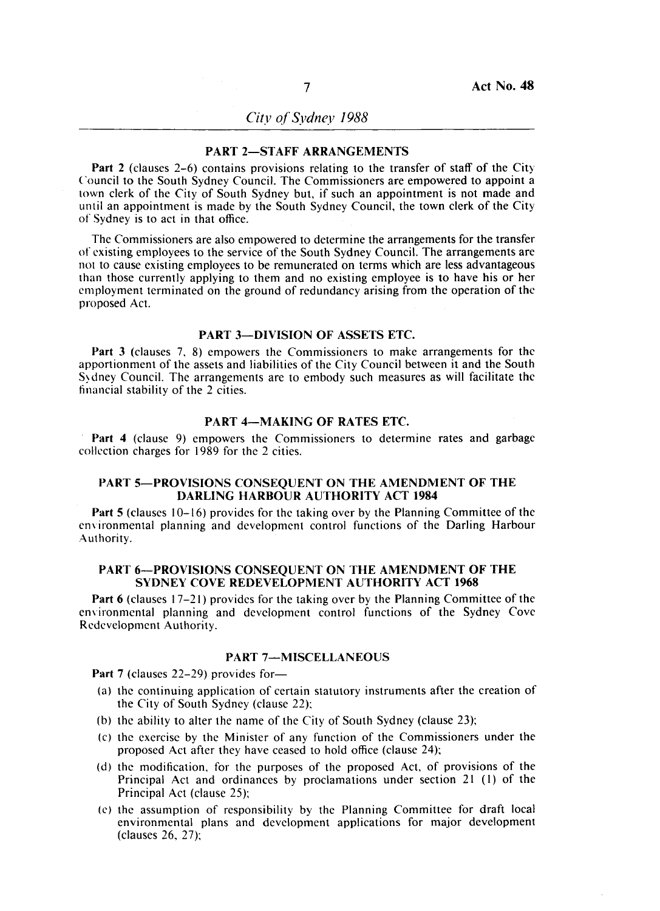*City of Sydney 1988* 

### PART 2-STAFF ARRANGEMENTS

Part 2 (clauses 2-6) contains provisions relating to the transfer of staff of the City ('ouncil to the South Sydney Council. The Commissioners are empowered to appoint a town clerk of the City of South Sydney but, if such an appointment is not made and until an appointment is made by the South Sydney Council, the town clerk of the City of Sydney is to act in that office.

The Commissioners are also empowered to determine the arrangements for the transfer of existing employees to the service of the South Sydney Council. The arrangements are not to cause existing employees to be remunerated on terms which are less advantageous than those currently applying to them and no existing employee is to have his or her employment terminated on the ground of redundancy arising from the operation of the proposed Act.

# PART 3-DIVISION OF ASSETS ETC.

Part 3 (clauses 7, 8) empowers the Commissioners to make arrangements for the apportionment of the assets and liabilities of the City Council between it and the South S~ dney Council. The arrangements are to embody such measures as will facilitate the financial stability of the 2 cities.

### PART 4-MAKING OF RATES ETC.

Part 4 (clause 9) empowers the Commissioners to determine rates and garbage collection charges for 1989 for the 2 cities.

### PART 5-PROVISIONS CONSEQUENT ON THE AMENDMENT OF THE DARLING HARBOUR AUTHORITY ACT 1984

Part 5 (clauses 10-16) provides for the taking over by the Planning Committee of the environmental planning and development control functions of the Darling Harbour Authority.

## PART 6-PROVISIONS CONSEQUENT ON THE AMENDMENT OF THE SYDNEY COVE REDEVELOPMENT AUTHORITY ACT 1968

Part 6 (clauses 17-21) provides for the taking over by the Planning Committee of the environmental planning and development control functions of the Sydney Cove Redevelopment Authority.

### PART 7-MISCELLANEOUS

Part 7 (clauses 22-29) provides for-

- (a) the continuing application of certain statutory instruments after the creation of the City of South Sydney (clause 22);
- (b) the ability to alter the name of the City of South Sydney (clause 23);
- (c) the exercise by the Minister of any function of the Commissioners under the proposed Act after they have ceased to hold office (clause 24);
- (d) the modification, for the purposes of the proposed Act, of provisions of the Principal Act and ordinances by proclamations under section 21 (I) of the Principal Act (clause 25);
- (c) the assumption of responsibility by the Planning Committee for draft local environmental plans and development applications for major development (clauses 26, 27);